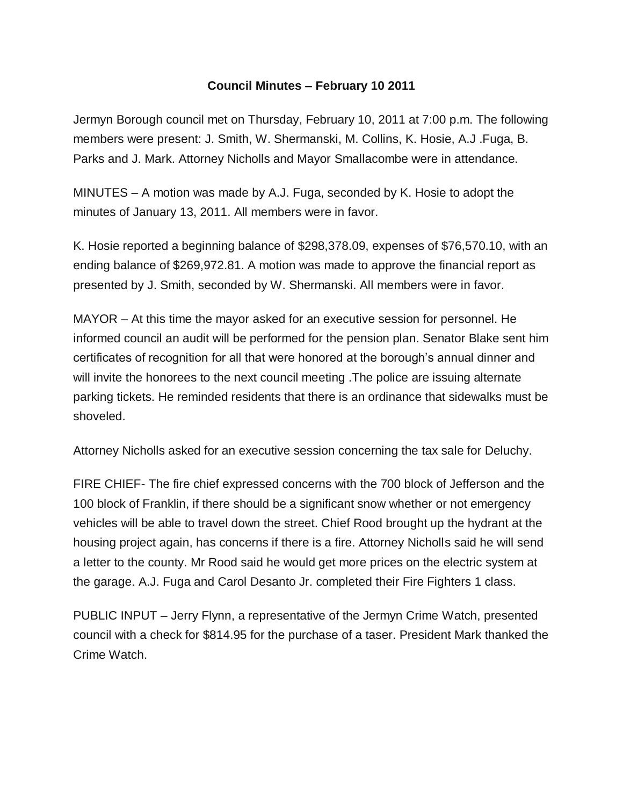## **Council Minutes – February 10 2011**

Jermyn Borough council met on Thursday, February 10, 2011 at 7:00 p.m. The following members were present: J. Smith, W. Shermanski, M. Collins, K. Hosie, A.J .Fuga, B. Parks and J. Mark. Attorney Nicholls and Mayor Smallacombe were in attendance.

MINUTES – A motion was made by A.J. Fuga, seconded by K. Hosie to adopt the minutes of January 13, 2011. All members were in favor.

K. Hosie reported a beginning balance of \$298,378.09, expenses of \$76,570.10, with an ending balance of \$269,972.81. A motion was made to approve the financial report as presented by J. Smith, seconded by W. Shermanski. All members were in favor.

MAYOR – At this time the mayor asked for an executive session for personnel. He informed council an audit will be performed for the pension plan. Senator Blake sent him certificates of recognition for all that were honored at the borough's annual dinner and will invite the honorees to the next council meeting. The police are issuing alternate parking tickets. He reminded residents that there is an ordinance that sidewalks must be shoveled.

Attorney Nicholls asked for an executive session concerning the tax sale for Deluchy.

FIRE CHIEF- The fire chief expressed concerns with the 700 block of Jefferson and the 100 block of Franklin, if there should be a significant snow whether or not emergency vehicles will be able to travel down the street. Chief Rood brought up the hydrant at the housing project again, has concerns if there is a fire. Attorney Nicholls said he will send a letter to the county. Mr Rood said he would get more prices on the electric system at the garage. A.J. Fuga and Carol Desanto Jr. completed their Fire Fighters 1 class.

PUBLIC INPUT – Jerry Flynn, a representative of the Jermyn Crime Watch, presented council with a check for \$814.95 for the purchase of a taser. President Mark thanked the Crime Watch.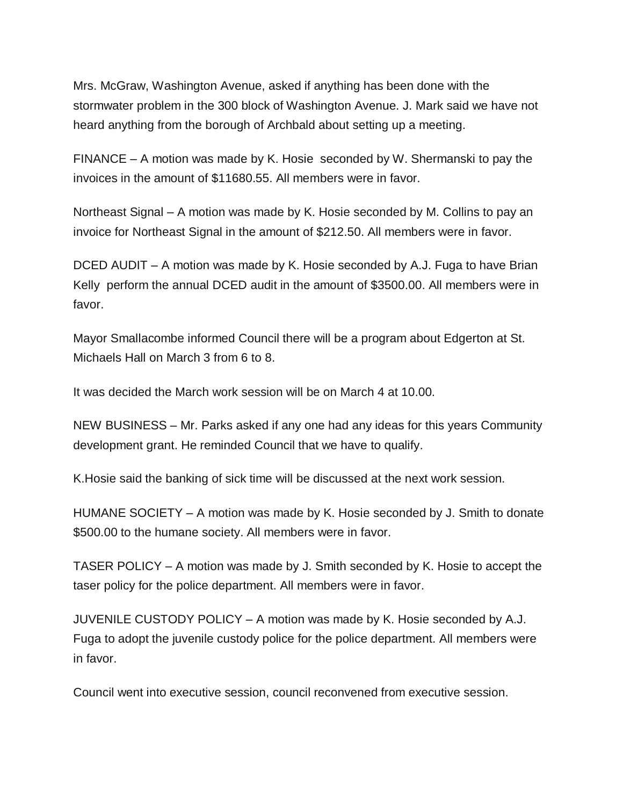Mrs. McGraw, Washington Avenue, asked if anything has been done with the stormwater problem in the 300 block of Washington Avenue. J. Mark said we have not heard anything from the borough of Archbald about setting up a meeting.

FINANCE – A motion was made by K. Hosie seconded by W. Shermanski to pay the invoices in the amount of \$11680.55. All members were in favor.

Northeast Signal – A motion was made by K. Hosie seconded by M. Collins to pay an invoice for Northeast Signal in the amount of \$212.50. All members were in favor.

DCED AUDIT – A motion was made by K. Hosie seconded by A.J. Fuga to have Brian Kelly perform the annual DCED audit in the amount of \$3500.00. All members were in favor.

Mayor Smallacombe informed Council there will be a program about Edgerton at St. Michaels Hall on March 3 from 6 to 8.

It was decided the March work session will be on March 4 at 10.00.

NEW BUSINESS – Mr. Parks asked if any one had any ideas for this years Community development grant. He reminded Council that we have to qualify.

K.Hosie said the banking of sick time will be discussed at the next work session.

HUMANE SOCIETY – A motion was made by K. Hosie seconded by J. Smith to donate \$500.00 to the humane society. All members were in favor.

TASER POLICY – A motion was made by J. Smith seconded by K. Hosie to accept the taser policy for the police department. All members were in favor.

JUVENILE CUSTODY POLICY – A motion was made by K. Hosie seconded by A.J. Fuga to adopt the juvenile custody police for the police department. All members were in favor.

Council went into executive session, council reconvened from executive session.